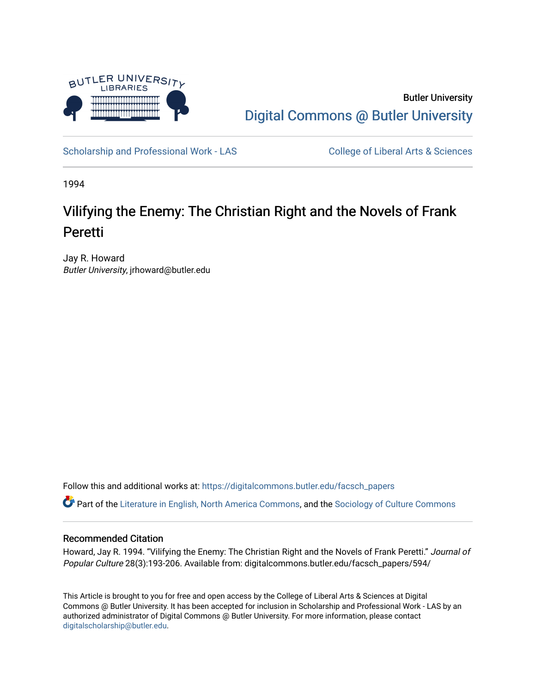

Butler University [Digital Commons @ Butler University](https://digitalcommons.butler.edu/) 

[Scholarship and Professional Work - LAS](https://digitalcommons.butler.edu/facsch_papers) College of Liberal Arts & Sciences

1994

# Vilifying the Enemy: The Christian Right and the Novels of Frank Peretti

Jay R. Howard Butler University, jrhoward@butler.edu

Follow this and additional works at: [https://digitalcommons.butler.edu/facsch\\_papers](https://digitalcommons.butler.edu/facsch_papers?utm_source=digitalcommons.butler.edu%2Ffacsch_papers%2F594&utm_medium=PDF&utm_campaign=PDFCoverPages)

**C** Part of the [Literature in English, North America Commons,](http://network.bepress.com/hgg/discipline/458?utm_source=digitalcommons.butler.edu%2Ffacsch_papers%2F594&utm_medium=PDF&utm_campaign=PDFCoverPages) and the Sociology of Culture Commons

#### Recommended Citation

Howard, Jay R. 1994. "Vilifying the Enemy: The Christian Right and the Novels of Frank Peretti." Journal of Popular Culture 28(3):193-206. Available from: digitalcommons.butler.edu/facsch\_papers/594/

This Article is brought to you for free and open access by the College of Liberal Arts & Sciences at Digital Commons @ Butler University. It has been accepted for inclusion in Scholarship and Professional Work - LAS by an authorized administrator of Digital Commons @ Butler University. For more information, please contact [digitalscholarship@butler.edu.](mailto:digitalscholarship@butler.edu)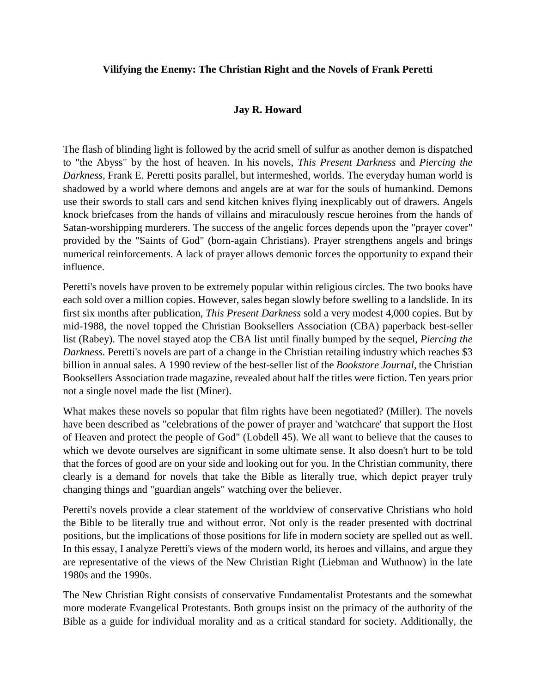# **Vilifying the Enemy: The Christian Right and the Novels of Frank Peretti**

# **Jay R. Howard**

The flash of blinding light is followed by the acrid smell of sulfur as another demon is dispatched to "the Abyss" by the host of heaven. In his novels, *This Present Darkness* and *Piercing the Darkness,* Frank E. Peretti posits parallel, but intermeshed, worlds. The everyday human world is shadowed by a world where demons and angels are at war for the souls of humankind. Demons use their swords to stall cars and send kitchen knives flying inexplicably out of drawers. Angels knock briefcases from the hands of villains and miraculously rescue heroines from the hands of Satan-worshipping murderers. The success of the angelic forces depends upon the "prayer cover" provided by the "Saints of God" (born-again Christians). Prayer strengthens angels and brings numerical reinforcements. A lack of prayer allows demonic forces the opportunity to expand their influence.

Peretti's novels have proven to be extremely popular within religious circles. The two books have each sold over a million copies. However, sales began slowly before swelling to a landslide. In its first six months after publication, *This Present Darkness* sold a very modest 4,000 copies. But by mid-1988, the novel topped the Christian Booksellers Association (CBA) paperback best-seller list (Rabey). The novel stayed atop the CBA list until finally bumped by the sequel, *Piercing the Darkness.* Peretti's novels are part of a change in the Christian retailing industry which reaches \$3 billion in annual sales. A 1990 review of the best-seller list of the *Bookstore Journal,* the Christian Booksellers Association trade magazine, revealed about half the titles were fiction. Ten years prior not a single novel made the list (Miner).

What makes these novels so popular that film rights have been negotiated? (Miller). The novels have been described as "celebrations of the power of prayer and 'watchcare' that support the Host of Heaven and protect the people of God" (Lobdell 45). We all want to believe that the causes to which we devote ourselves are significant in some ultimate sense. It also doesn't hurt to be told that the forces of good are on your side and looking out for you. In the Christian community, there clearly is a demand for novels that take the Bible as literally true, which depict prayer truly changing things and "guardian angels" watching over the believer.

Peretti's novels provide a clear statement of the worldview of conservative Christians who hold the Bible to be literally true and without error. Not only is the reader presented with doctrinal positions, but the implications of those positions for life in modern society are spelled out as well. In this essay, I analyze Peretti's views of the modern world, its heroes and villains, and argue they are representative of the views of the New Christian Right (Liebman and Wuthnow) in the late 1980s and the 1990s.

The New Christian Right consists of conservative Fundamentalist Protestants and the somewhat more moderate Evangelical Protestants. Both groups insist on the primacy of the authority of the Bible as a guide for individual morality and as a critical standard for society. Additionally, the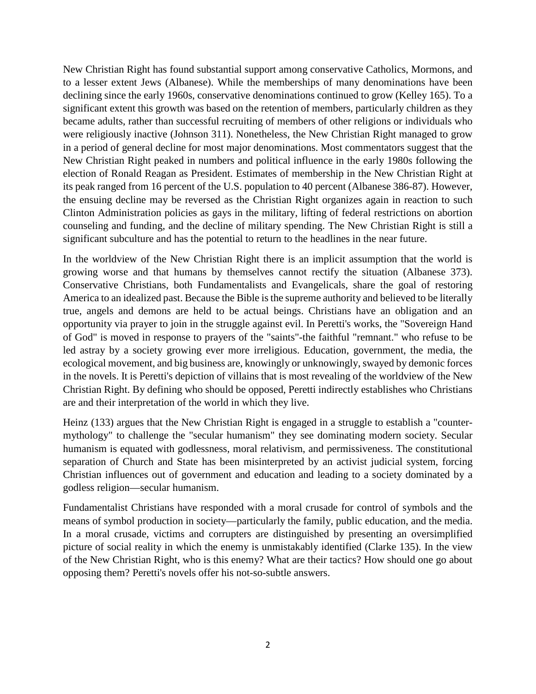New Christian Right has found substantial support among conservative Catholics, Mormons, and to a lesser extent Jews (Albanese). While the memberships of many denominations have been declining since the early 1960s, conservative denominations continued to grow (Kelley 165). To a significant extent this growth was based on the retention of members, particularly children as they became adults, rather than successful recruiting of members of other religions or individuals who were religiously inactive (Johnson 311). Nonetheless, the New Christian Right managed to grow in a period of general decline for most major denominations. Most commentators suggest that the New Christian Right peaked in numbers and political influence in the early 1980s following the election of Ronald Reagan as President. Estimates of membership in the New Christian Right at its peak ranged from 16 percent of the U.S. population to 40 percent (Albanese 386-87). However, the ensuing decline may be reversed as the Christian Right organizes again in reaction to such Clinton Administration policies as gays in the military, lifting of federal restrictions on abortion counseling and funding, and the decline of military spending. The New Christian Right is still a significant subculture and has the potential to return to the headlines in the near future.

In the worldview of the New Christian Right there is an implicit assumption that the world is growing worse and that humans by themselves cannot rectify the situation (Albanese 373). Conservative Christians, both Fundamentalists and Evangelicals, share the goal of restoring America to an idealized past. Because the Bible is the supreme authority and believed to be literally true, angels and demons are held to be actual beings. Christians have an obligation and an opportunity via prayer to join in the struggle against evil. In Peretti's works, the "Sovereign Hand of God" is moved in response to prayers of the "saints"-the faithful "remnant." who refuse to be led astray by a society growing ever more irreligious. Education, government, the media, the ecological movement, and big business are, knowingly or unknowingly, swayed by demonic forces in the novels. It is Peretti's depiction of villains that is most revealing of the worldview of the New Christian Right. By defining who should be opposed, Peretti indirectly establishes who Christians are and their interpretation of the world in which they live.

Heinz (133) argues that the New Christian Right is engaged in a struggle to establish a "countermythology" to challenge the "secular humanism" they see dominating modern society. Secular humanism is equated with godlessness, moral relativism, and permissiveness. The constitutional separation of Church and State has been misinterpreted by an activist judicial system, forcing Christian influences out of government and education and leading to a society dominated by a godless religion—secular humanism.

Fundamentalist Christians have responded with a moral crusade for control of symbols and the means of symbol production in society—particularly the family, public education, and the media. In a moral crusade, victims and corrupters are distinguished by presenting an oversimplified picture of social reality in which the enemy is unmistakably identified (Clarke 135). In the view of the New Christian Right, who is this enemy? What are their tactics? How should one go about opposing them? Peretti's novels offer his not-so-subtle answers.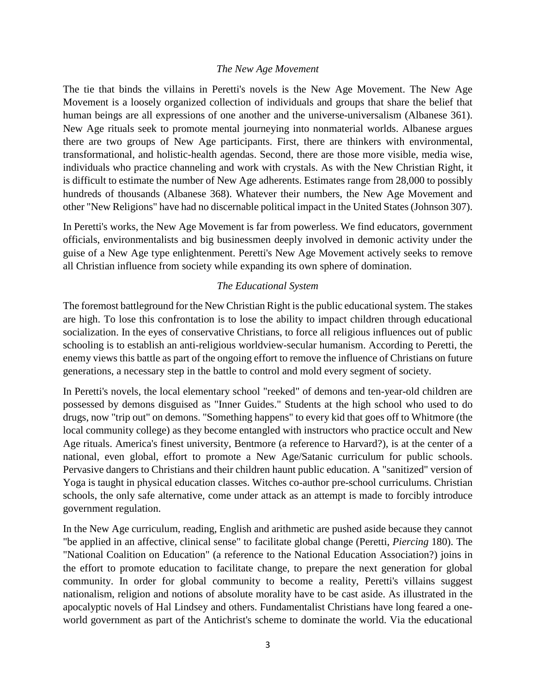#### *The New Age Movement*

The tie that binds the villains in Peretti's novels is the New Age Movement. The New Age Movement is a loosely organized collection of individuals and groups that share the belief that human beings are all expressions of one another and the universe-universalism (Albanese 361). New Age rituals seek to promote mental journeying into nonmaterial worlds. Albanese argues there are two groups of New Age participants. First, there are thinkers with environmental, transformational, and holistic-health agendas. Second, there are those more visible, media wise, individuals who practice channeling and work with crystals. As with the New Christian Right, it is difficult to estimate the number of New Age adherents. Estimates range from 28,000 to possibly hundreds of thousands (Albanese 368). Whatever their numbers, the New Age Movement and other "New Religions" have had no discernable political impact in the United States (Johnson 307).

In Peretti's works, the New Age Movement is far from powerless. We find educators, government officials, environmentalists and big businessmen deeply involved in demonic activity under the guise of a New Age type enlightenment. Peretti's New Age Movement actively seeks to remove all Christian influence from society while expanding its own sphere of domination.

# *The Educational System*

The foremost battleground for the New Christian Right is the public educational system. The stakes are high. To lose this confrontation is to lose the ability to impact children through educational socialization. In the eyes of conservative Christians, to force all religious influences out of public schooling is to establish an anti-religious worldview-secular humanism. According to Peretti, the enemy views this battle as part of the ongoing effort to remove the influence of Christians on future generations, a necessary step in the battle to control and mold every segment of society.

In Peretti's novels, the local elementary school "reeked" of demons and ten-year-old children are possessed by demons disguised as "Inner Guides." Students at the high school who used to do drugs, now "trip out" on demons. "Something happens" to every kid that goes off to Whitmore (the local community college) as they become entangled with instructors who practice occult and New Age rituals. America's finest university, Bentmore (a reference to Harvard?), is at the center of a national, even global, effort to promote a New Age/Satanic curriculum for public schools. Pervasive dangers to Christians and their children haunt public education. A "sanitized" version of Yoga is taught in physical education classes. Witches co-author pre-school curriculums. Christian schools, the only safe alternative, come under attack as an attempt is made to forcibly introduce government regulation.

In the New Age curriculum, reading, English and arithmetic are pushed aside because they cannot "be applied in an affective, clinical sense" to facilitate global change (Peretti, *Piercing* 180). The "National Coalition on Education" (a reference to the National Education Association?) joins in the effort to promote education to facilitate change, to prepare the next generation for global community. In order for global community to become a reality, Peretti's villains suggest nationalism, religion and notions of absolute morality have to be cast aside. As illustrated in the apocalyptic novels of Hal Lindsey and others. Fundamentalist Christians have long feared a oneworld government as part of the Antichrist's scheme to dominate the world. Via the educational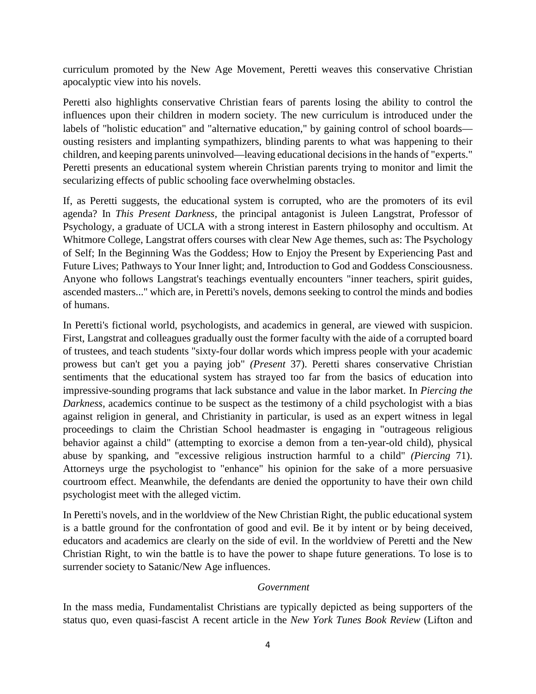curriculum promoted by the New Age Movement, Peretti weaves this conservative Christian apocalyptic view into his novels.

Peretti also highlights conservative Christian fears of parents losing the ability to control the influences upon their children in modern society. The new curriculum is introduced under the labels of "holistic education" and "alternative education," by gaining control of school boards ousting resisters and implanting sympathizers, blinding parents to what was happening to their children, and keeping parents uninvolved—leaving educational decisions in the hands of "experts." Peretti presents an educational system wherein Christian parents trying to monitor and limit the secularizing effects of public schooling face overwhelming obstacles.

If, as Peretti suggests, the educational system is corrupted, who are the promoters of its evil agenda? In *This Present Darkness,* the principal antagonist is Juleen Langstrat, Professor of Psychology, a graduate of UCLA with a strong interest in Eastern philosophy and occultism. At Whitmore College, Langstrat offers courses with clear New Age themes, such as: The Psychology of Self; In the Beginning Was the Goddess; How to Enjoy the Present by Experiencing Past and Future Lives; Pathways to Your Inner light; and, Introduction to God and Goddess Consciousness. Anyone who follows Langstrat's teachings eventually encounters "inner teachers, spirit guides, ascended masters..." which are, in Peretti's novels, demons seeking to control the minds and bodies of humans.

In Peretti's fictional world, psychologists, and academics in general, are viewed with suspicion. First, Langstrat and colleagues gradually oust the former faculty with the aide of a corrupted board of trustees, and teach students "sixty-four dollar words which impress people with your academic prowess but can't get you a paying job" *(Present* 37). Peretti shares conservative Christian sentiments that the educational system has strayed too far from the basics of education into impressive-sounding programs that lack substance and value in the labor market. In *Piercing the Darkness,* academics continue to be suspect as the testimony of a child psychologist with a bias against religion in general, and Christianity in particular, is used as an expert witness in legal proceedings to claim the Christian School headmaster is engaging in "outrageous religious behavior against a child" (attempting to exorcise a demon from a ten-year-old child), physical abuse by spanking, and "excessive religious instruction harmful to a child" *(Piercing* 71). Attorneys urge the psychologist to "enhance" his opinion for the sake of a more persuasive courtroom effect. Meanwhile, the defendants are denied the opportunity to have their own child psychologist meet with the alleged victim.

In Peretti's novels, and in the worldview of the New Christian Right, the public educational system is a battle ground for the confrontation of good and evil. Be it by intent or by being deceived, educators and academics are clearly on the side of evil. In the worldview of Peretti and the New Christian Right, to win the battle is to have the power to shape future generations. To lose is to surrender society to Satanic/New Age influences.

### *Government*

In the mass media, Fundamentalist Christians are typically depicted as being supporters of the status quo, even quasi-fascist A recent article in the *New York Tunes Book Review* (Lifton and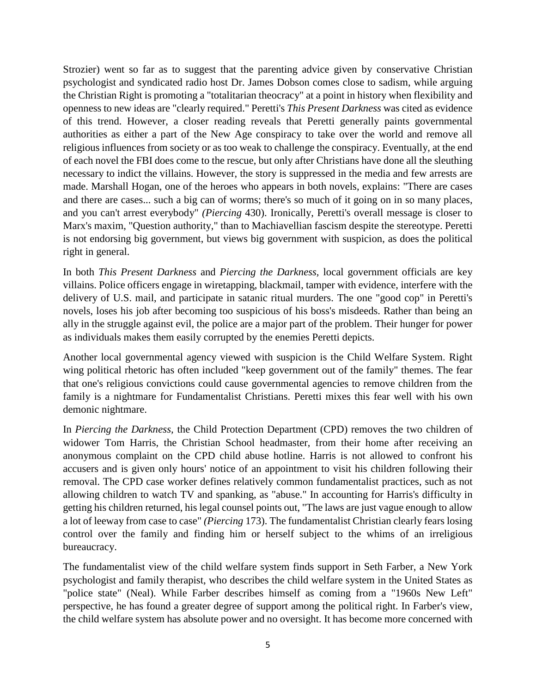Strozier) went so far as to suggest that the parenting advice given by conservative Christian psychologist and syndicated radio host Dr. James Dobson comes close to sadism, while arguing the Christian Right is promoting a "totalitarian theocracy" at a point in history when flexibility and openness to new ideas are "clearly required." Peretti's *This Present Darkness* was cited as evidence of this trend. However, a closer reading reveals that Peretti generally paints governmental authorities as either a part of the New Age conspiracy to take over the world and remove all religious influences from society or as too weak to challenge the conspiracy. Eventually, at the end of each novel the FBI does come to the rescue, but only after Christians have done all the sleuthing necessary to indict the villains. However, the story is suppressed in the media and few arrests are made. Marshall Hogan, one of the heroes who appears in both novels, explains: "There are cases and there are cases... such a big can of worms; there's so much of it going on in so many places, and you can't arrest everybody" *(Piercing* 430). Ironically, Peretti's overall message is closer to Marx's maxim, "Question authority," than to Machiavellian fascism despite the stereotype. Peretti is not endorsing big government, but views big government with suspicion, as does the political right in general.

In both *This Present Darkness* and *Piercing the Darkness,* local government officials are key villains. Police officers engage in wiretapping, blackmail, tamper with evidence, interfere with the delivery of U.S. mail, and participate in satanic ritual murders. The one "good cop" in Peretti's novels, loses his job after becoming too suspicious of his boss's misdeeds. Rather than being an ally in the struggle against evil, the police are a major part of the problem. Their hunger for power as individuals makes them easily corrupted by the enemies Peretti depicts.

Another local governmental agency viewed with suspicion is the Child Welfare System. Right wing political rhetoric has often included "keep government out of the family" themes. The fear that one's religious convictions could cause governmental agencies to remove children from the family is a nightmare for Fundamentalist Christians. Peretti mixes this fear well with his own demonic nightmare.

In *Piercing the Darkness,* the Child Protection Department (CPD) removes the two children of widower Tom Harris, the Christian School headmaster, from their home after receiving an anonymous complaint on the CPD child abuse hotline. Harris is not allowed to confront his accusers and is given only hours' notice of an appointment to visit his children following their removal. The CPD case worker defines relatively common fundamentalist practices, such as not allowing children to watch TV and spanking, as "abuse." In accounting for Harris's difficulty in getting his children returned, his legal counsel points out, "The laws are just vague enough to allow a lot of leeway from case to case" *(Piercing* 173). The fundamentalist Christian clearly fears losing control over the family and finding him or herself subject to the whims of an irreligious bureaucracy.

The fundamentalist view of the child welfare system finds support in Seth Farber, a New York psychologist and family therapist, who describes the child welfare system in the United States as "police state" (Neal). While Farber describes himself as coming from a "1960s New Left" perspective, he has found a greater degree of support among the political right. In Farber's view, the child welfare system has absolute power and no oversight. It has become more concerned with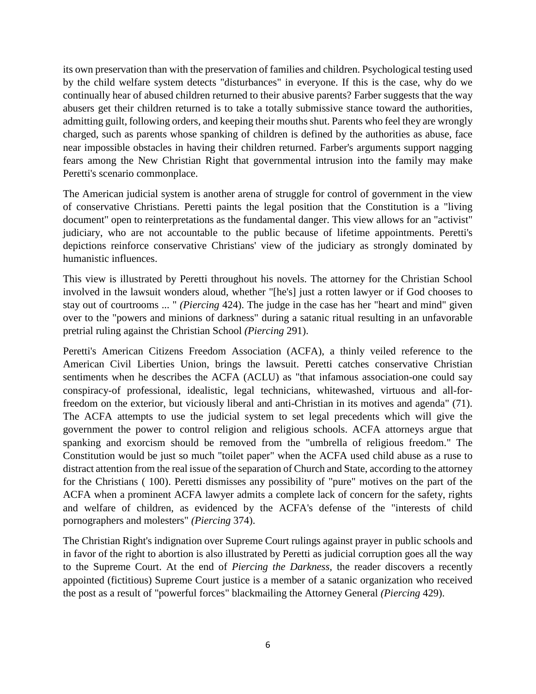its own preservation than with the preservation of families and children. Psychological testing used by the child welfare system detects "disturbances" in everyone. If this is the case, why do we continually hear of abused children returned to their abusive parents? Farber suggests that the way abusers get their children returned is to take a totally submissive stance toward the authorities, admitting guilt, following orders, and keeping their mouths shut. Parents who feel they are wrongly charged, such as parents whose spanking of children is defined by the authorities as abuse, face near impossible obstacles in having their children returned. Farber's arguments support nagging fears among the New Christian Right that governmental intrusion into the family may make Peretti's scenario commonplace.

The American judicial system is another arena of struggle for control of government in the view of conservative Christians. Peretti paints the legal position that the Constitution is a "living document" open to reinterpretations as the fundamental danger. This view allows for an "activist" judiciary, who are not accountable to the public because of lifetime appointments. Peretti's depictions reinforce conservative Christians' view of the judiciary as strongly dominated by humanistic influences.

This view is illustrated by Peretti throughout his novels. The attorney for the Christian School involved in the lawsuit wonders aloud, whether "[he's] just a rotten lawyer or if God chooses to stay out of courtrooms ... " *(Piercing* 424). The judge in the case has her "heart and mind" given over to the "powers and minions of darkness" during a satanic ritual resulting in an unfavorable pretrial ruling against the Christian School *(Piercing* 291).

Peretti's American Citizens Freedom Association (ACFA), a thinly veiled reference to the American Civil Liberties Union, brings the lawsuit. Peretti catches conservative Christian sentiments when he describes the ACFA (ACLU) as "that infamous association-one could say conspiracy-of professional, idealistic, legal technicians, whitewashed, virtuous and all-forfreedom on the exterior, but viciously liberal and anti-Christian in its motives and agenda" (71). The ACFA attempts to use the judicial system to set legal precedents which will give the government the power to control religion and religious schools. ACFA attorneys argue that spanking and exorcism should be removed from the "umbrella of religious freedom." The Constitution would be just so much "toilet paper" when the ACFA used child abuse as a ruse to distract attention from the real issue of the separation of Church and State, according to the attorney for the Christians ( 100). Peretti dismisses any possibility of "pure" motives on the part of the ACFA when a prominent ACFA lawyer admits a complete lack of concern for the safety, rights and welfare of children, as evidenced by the ACFA's defense of the "interests of child pornographers and molesters" *(Piercing* 374).

The Christian Right's indignation over Supreme Court rulings against prayer in public schools and in favor of the right to abortion is also illustrated by Peretti as judicial corruption goes all the way to the Supreme Court. At the end of *Piercing the Darkness,* the reader discovers a recently appointed (fictitious) Supreme Court justice is a member of a satanic organization who received the post as a result of "powerful forces" blackmailing the Attorney General *(Piercing* 429).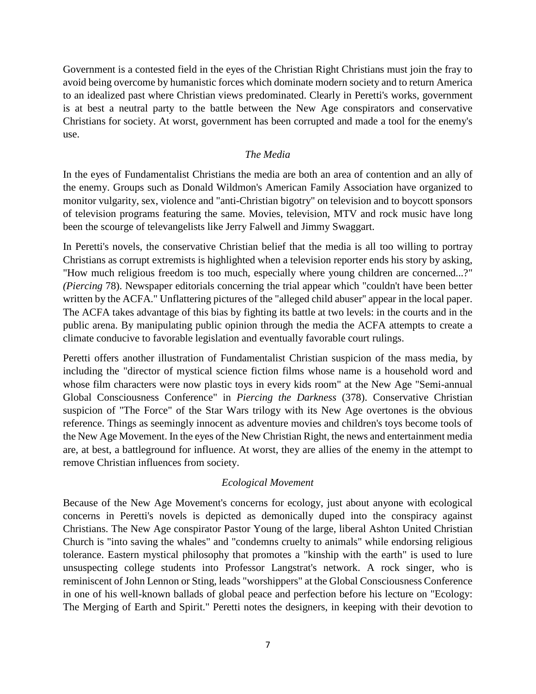Government is a contested field in the eyes of the Christian Right Christians must join the fray to avoid being overcome by humanistic forces which dominate modern society and to return America to an idealized past where Christian views predominated. Clearly in Peretti's works, government is at best a neutral party to the battle between the New Age conspirators and conservative Christians for society. At worst, government has been corrupted and made a tool for the enemy's use.

## *The Media*

In the eyes of Fundamentalist Christians the media are both an area of contention and an ally of the enemy. Groups such as Donald Wildmon's American Family Association have organized to monitor vulgarity, sex, violence and "anti-Christian bigotry" on television and to boycott sponsors of television programs featuring the same. Movies, television, MTV and rock music have long been the scourge of televangelists like Jerry Falwell and Jimmy Swaggart.

In Peretti's novels, the conservative Christian belief that the media is all too willing to portray Christians as corrupt extremists is highlighted when a television reporter ends his story by asking, "How much religious freedom is too much, especially where young children are concerned...?" *(Piercing* 78). Newspaper editorials concerning the trial appear which "couldn't have been better written by the ACFA." Unflattering pictures of the "alleged child abuser'' appear in the local paper. The ACFA takes advantage of this bias by fighting its battle at two levels: in the courts and in the public arena. By manipulating public opinion through the media the ACFA attempts to create a climate conducive to favorable legislation and eventually favorable court rulings.

Peretti offers another illustration of Fundamentalist Christian suspicion of the mass media, by including the "director of mystical science fiction films whose name is a household word and whose film characters were now plastic toys in every kids room" at the New Age "Semi-annual Global Consciousness Conference" in *Piercing the Darkness* (378). Conservative Christian suspicion of "The Force" of the Star Wars trilogy with its New Age overtones is the obvious reference. Things as seemingly innocent as adventure movies and children's toys become tools of the New Age Movement. In the eyes of the New Christian Right, the news and entertainment media are, at best, a battleground for influence. At worst, they are allies of the enemy in the attempt to remove Christian influences from society.

### *Ecological Movement*

Because of the New Age Movement's concerns for ecology, just about anyone with ecological concerns in Peretti's novels is depicted as demonically duped into the conspiracy against Christians. The New Age conspirator Pastor Young of the large, liberal Ashton United Christian Church is "into saving the whales" and "condemns cruelty to animals" while endorsing religious tolerance. Eastern mystical philosophy that promotes a "kinship with the earth" is used to lure unsuspecting college students into Professor Langstrat's network. A rock singer, who is reminiscent of John Lennon or Sting, leads "worshippers" at the Global Consciousness Conference in one of his well-known ballads of global peace and perfection before his lecture on "Ecology: The Merging of Earth and Spirit." Peretti notes the designers, in keeping with their devotion to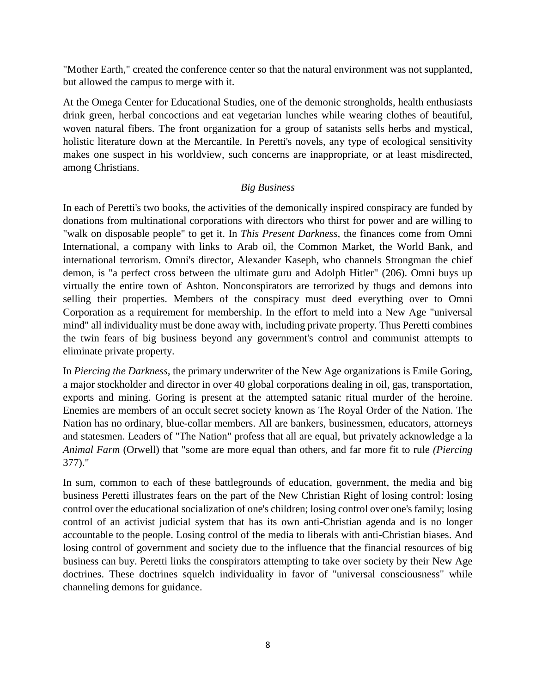"Mother Earth," created the conference center so that the natural environment was not supplanted, but allowed the campus to merge with it.

At the Omega Center for Educational Studies, one of the demonic strongholds, health enthusiasts drink green, herbal concoctions and eat vegetarian lunches while wearing clothes of beautiful, woven natural fibers. The front organization for a group of satanists sells herbs and mystical, holistic literature down at the Mercantile. In Peretti's novels, any type of ecological sensitivity makes one suspect in his worldview, such concerns are inappropriate, or at least misdirected, among Christians.

# *Big Business*

In each of Peretti's two books, the activities of the demonically inspired conspiracy are funded by donations from multinational corporations with directors who thirst for power and are willing to "walk on disposable people" to get it. In *This Present Darkness,* the finances come from Omni International, a company with links to Arab oil, the Common Market, the World Bank, and international terrorism. Omni's director, Alexander Kaseph, who channels Strongman the chief demon, is "a perfect cross between the ultimate guru and Adolph Hitler" (206). Omni buys up virtually the entire town of Ashton. Nonconspirators are terrorized by thugs and demons into selling their properties. Members of the conspiracy must deed everything over to Omni Corporation as a requirement for membership. In the effort to meld into a New Age "universal mind" all individuality must be done away with, including private property. Thus Peretti combines the twin fears of big business beyond any government's control and communist attempts to eliminate private property.

In *Piercing the Darkness,* the primary underwriter of the New Age organizations is Emile Goring, a major stockholder and director in over 40 global corporations dealing in oil, gas, transportation, exports and mining. Goring is present at the attempted satanic ritual murder of the heroine. Enemies are members of an occult secret society known as The Royal Order of the Nation. The Nation has no ordinary, blue-collar members. All are bankers, businessmen, educators, attorneys and statesmen. Leaders of "The Nation" profess that all are equal, but privately acknowledge a la *Animal Farm* (Orwell) that "some are more equal than others, and far more fit to rule *(Piercing*  377)."

In sum, common to each of these battlegrounds of education, government, the media and big business Peretti illustrates fears on the part of the New Christian Right of losing control: losing control over the educational socialization of one's children; losing control over one's family; losing control of an activist judicial system that has its own anti-Christian agenda and is no longer accountable to the people. Losing control of the media to liberals with anti-Christian biases. And losing control of government and society due to the influence that the financial resources of big business can buy. Peretti links the conspirators attempting to take over society by their New Age doctrines. These doctrines squelch individuality in favor of "universal consciousness" while channeling demons for guidance.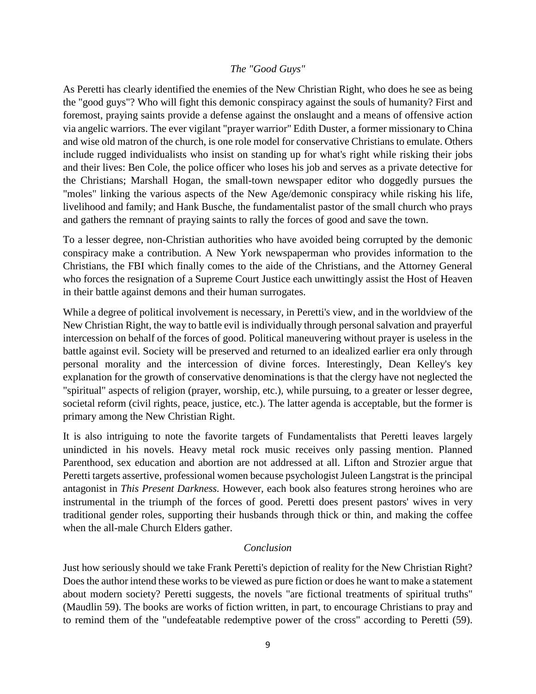## *The "Good Guys"*

As Peretti has clearly identified the enemies of the New Christian Right, who does he see as being the "good guys"? Who will fight this demonic conspiracy against the souls of humanity? First and foremost, praying saints provide a defense against the onslaught and a means of offensive action via angelic warriors. The ever vigilant "prayer warrior" Edith Duster, a former missionary to China and wise old matron of the church, is one role model for conservative Christians to emulate. Others include rugged individualists who insist on standing up for what's right while risking their jobs and their lives: Ben Cole, the police officer who loses his job and serves as a private detective for the Christians; Marshall Hogan, the small-town newspaper editor who doggedly pursues the "moles" linking the various aspects of the New Age/demonic conspiracy while risking his life, livelihood and family; and Hank Busche, the fundamentalist pastor of the small church who prays and gathers the remnant of praying saints to rally the forces of good and save the town.

To a lesser degree, non-Christian authorities who have avoided being corrupted by the demonic conspiracy make a contribution. A New York newspaperman who provides information to the Christians, the FBI which finally comes to the aide of the Christians, and the Attorney General who forces the resignation of a Supreme Court Justice each unwittingly assist the Host of Heaven in their battle against demons and their human surrogates.

While a degree of political involvement is necessary, in Peretti's view, and in the worldview of the New Christian Right, the way to battle evil is individually through personal salvation and prayerful intercession on behalf of the forces of good. Political maneuvering without prayer is useless in the battle against evil. Society will be preserved and returned to an idealized earlier era only through personal morality and the intercession of divine forces. Interestingly, Dean Kelley's key explanation for the growth of conservative denominations is that the clergy have not neglected the "spiritual" aspects of religion (prayer, worship, etc.), while pursuing, to a greater or lesser degree, societal reform (civil rights, peace, justice, etc.). The latter agenda is acceptable, but the former is primary among the New Christian Right.

It is also intriguing to note the favorite targets of Fundamentalists that Peretti leaves largely unindicted in his novels. Heavy metal rock music receives only passing mention. Planned Parenthood, sex education and abortion are not addressed at all. Lifton and Strozier argue that Peretti targets assertive, professional women because psychologist Juleen Langstrat is the principal antagonist in *This Present Darkness.* However, each book also features strong heroines who are instrumental in the triumph of the forces of good. Peretti does present pastors' wives in very traditional gender roles, supporting their husbands through thick or thin, and making the coffee when the all-male Church Elders gather.

### *Conclusion*

Just how seriously should we take Frank Peretti's depiction of reality for the New Christian Right? Does the author intend these works to be viewed as pure fiction or does he want to make a statement about modern society? Peretti suggests, the novels "are fictional treatments of spiritual truths" (Maudlin 59). The books are works of fiction written, in part, to encourage Christians to pray and to remind them of the "undefeatable redemptive power of the cross" according to Peretti (59).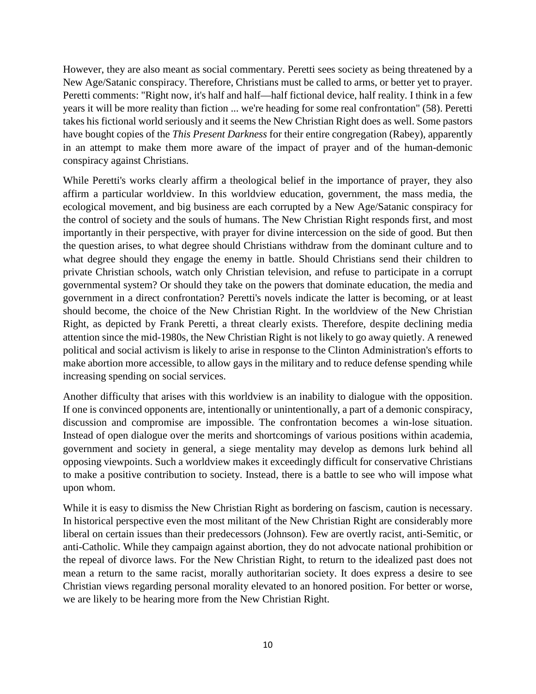However, they are also meant as social commentary. Peretti sees society as being threatened by a New Age/Satanic conspiracy. Therefore, Christians must be called to arms, or better yet to prayer. Peretti comments: "Right now, it's half and half—half fictional device, half reality. I think in a few years it will be more reality than fiction ... we're heading for some real confrontation" (58). Peretti takes his fictional world seriously and it seems the New Christian Right does as well. Some pastors have bought copies of the *This Present Darkness* for their entire congregation (Rabey), apparently in an attempt to make them more aware of the impact of prayer and of the human-demonic conspiracy against Christians.

While Peretti's works clearly affirm a theological belief in the importance of prayer, they also affirm a particular worldview. In this worldview education, government, the mass media, the ecological movement, and big business are each corrupted by a New Age/Satanic conspiracy for the control of society and the souls of humans. The New Christian Right responds first, and most importantly in their perspective, with prayer for divine intercession on the side of good. But then the question arises, to what degree should Christians withdraw from the dominant culture and to what degree should they engage the enemy in battle. Should Christians send their children to private Christian schools, watch only Christian television, and refuse to participate in a corrupt governmental system? Or should they take on the powers that dominate education, the media and government in a direct confrontation? Peretti's novels indicate the latter is becoming, or at least should become, the choice of the New Christian Right. In the worldview of the New Christian Right, as depicted by Frank Peretti, a threat clearly exists. Therefore, despite declining media attention since the mid-1980s, the New Christian Right is not likely to go away quietly. A renewed political and social activism is likely to arise in response to the Clinton Administration's efforts to make abortion more accessible, to allow gays in the military and to reduce defense spending while increasing spending on social services.

Another difficulty that arises with this worldview is an inability to dialogue with the opposition. If one is convinced opponents are, intentionally or unintentionally, a part of a demonic conspiracy, discussion and compromise are impossible. The confrontation becomes a win-lose situation. Instead of open dialogue over the merits and shortcomings of various positions within academia, government and society in general, a siege mentality may develop as demons lurk behind all opposing viewpoints. Such a worldview makes it exceedingly difficult for conservative Christians to make a positive contribution to society. Instead, there is a battle to see who will impose what upon whom.

While it is easy to dismiss the New Christian Right as bordering on fascism, caution is necessary. In historical perspective even the most militant of the New Christian Right are considerably more liberal on certain issues than their predecessors (Johnson). Few are overtly racist, anti-Semitic, or anti-Catholic. While they campaign against abortion, they do not advocate national prohibition or the repeal of divorce laws. For the New Christian Right, to return to the idealized past does not mean a return to the same racist, morally authoritarian society. It does express a desire to see Christian views regarding personal morality elevated to an honored position. For better or worse, we are likely to be hearing more from the New Christian Right.